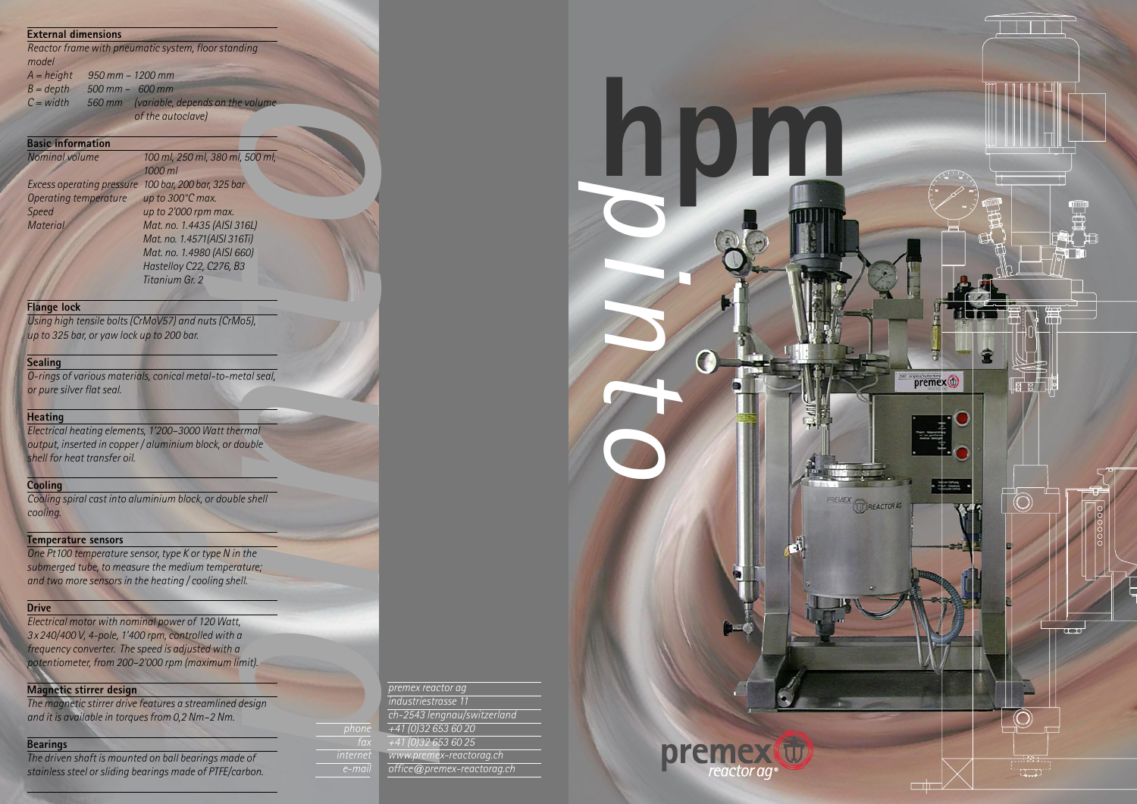**h**

*p*





### **External dimensions**

*Reactor frame with pneumatic system, floorstanding model*

| $A = height$ | $950$ mm $- 1200$ mm |                                         |
|--------------|----------------------|-----------------------------------------|
| $B = depth$  | $500$ mm $-$ 600 mm  |                                         |
| $C = width$  |                      | 560 mm (variable, depends on the volume |
|              |                      | of the autoclave)                       |

# **Basic information**

80 (AISI 660)<br>2, C276, B3<br>2<br>nuts (CrMo5), *oNominal volume 100 ml, 250 ml, 380 ml, 500 ml, 1000 ml Excess operating pressure 100 bar, 200 bar, 325 bar Operating temperature up to 300°C max. Speed up to 2'000 rpm max. Material Mat. no. 1.4435 (AISI 316L) Mat. no. 1.4571(AISI 316Ti) Mat. no. 1.4980 (AISI 660) Hastelloy C22, C276, B3 Titanium Gr. 2*

*nElectrical heating elements, 1'200–3000 Watt thermal output, inserted in copper / aluminium block, or double shell for heat transfer oil.*

# **Flange lock**

*iOne Pt100 temperature sensor, type K or type N in the submerged tube, to measure the medium temperature; and two more sensorsin the heating / cooling shell.*

*Using high tensile bolts(CrMoV57) and nuts(CrMo5), up to 325 bar, or yaw lock up to 200 bar.*

# **Sealing**

*O-rings of various materials, conical metal-to-metalseal, or pure silver flatseal.*

### **Heating**

| mit).  |                  |                          |
|--------|------------------|--------------------------|
|        |                  | premex reac              |
| design |                  | industriestr             |
|        |                  | $\overline{ch-2543}$ len |
|        | phone            | $+41(0)326$              |
|        | $\overline{fax}$ | $+41(0)326$              |
| le of  | internet         | www.preme                |

# **Cooling**

*Cooling spiral cast into aluminium block, or double shell cooling.*

## **Temperature sensors**

# **Drive**

*Electrical motor with nominal power of 120 Watt, 3x240/400 V, 4-pole, 1'400 rpm, controlled with a frequency converter. The speed is adjusted with a potentiometer, from 200–2'000 rpm (maximum limit).*

### **Magnetic stirrer design**

*The magnetic stirrer drive features a streamlined design and it is available in torquesfrom 0,2 Nm–2 Nm.*

### **Bearings**

*The driven shaft is mounted on ball bearings made of stainlesssteel orsliding bearings made of PTFE/carbon.* *premex reactor ag*

*industriestrasse 11 ch-2543 lengnau/switzerland +41 (0)32 653 60 20 +41 (0)32 653 60 25 www.premex-reactorag.ch office@premex-reactorag.ch*

*e-mail*